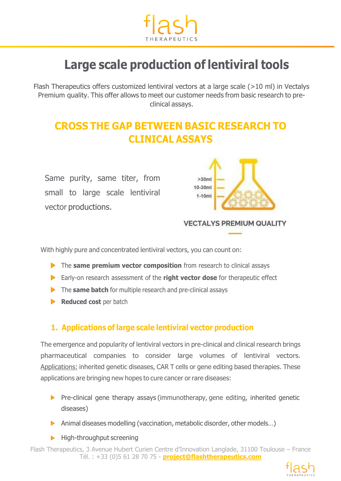

# **Large scale production of lentiviral tools**

Flash Therapeutics offers customized lentiviral vectors at a large scale (>10 ml) in Vectalys Premium quality. This offer allows to meet our customer needs from basic research to preclinical assays.

## **CROSS THE GAP BETWEEN BASIC RESEARCH TO CLINICAL ASSAYS**

Same purity, same titer, from small to large scale lentiviral vector productions.



#### **VECTALYS PREMIUM QUALITY**

With highly pure and concentrated lentiviral vectors, you can count on:

- **The same premium vector composition** from research to clinical assays
- Early-on research assessment of the **right vector dose** for therapeutic effect
- The **same batch** for multiple research and pre-clinical assays
- **Reduced cost** per batch

#### **1. Applications of large scale lentiviral vector production**

The emergence and popularity of lentiviral vectors in pre-clinical and clinical research brings pharmaceutical companies to consider large volumes of lentiviral vectors. Applications: inherited genetic diseases, CAR T cells or gene editing based therapies. These applications are bringing new hopes to cure cancer or rare diseases:

- $\triangleright$  Pre-clinical gene therapy assays (immunotherapy, gene editing, inherited genetic diseases)
- Animal diseases modelling (vaccination, metabolic disorder, other models...)
- $\blacktriangleright$  High-throughput screening

Flash Therapeutics, 3 Avenue Hubert Curien Centre d'Innovation Langlade, 31100 Toulouse – France Tél. : +33 (0)5 61 28 70 75 - **project@flashtherapeutics.com**